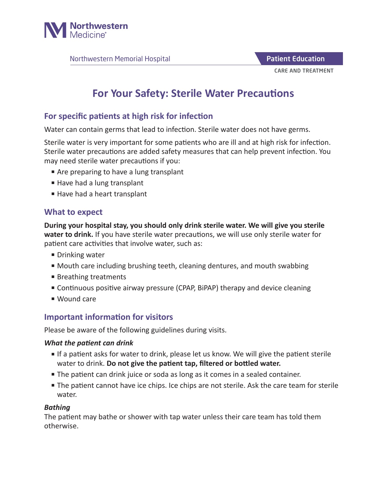

Northwestern Memorial Hospital

CARE AND TREATMENT Patient Education

# **For Your Safety: Sterile Water Precautions**

## **For specific patients at high risk for infection**

Water can contain germs that lead to infection. Sterile water does not have germs.

Sterile water is very important for some patients who are ill and at high risk for infection. Sterile water precautions are added safety measures that can help prevent infection. You may need sterile water precautions if you:

- Are preparing to have a lung transplant
- Have had a lung transplant
- Have had a heart transplant

#### **What to expect**

**During your hospital stay, you should only drink sterile water. We will give you sterile water to drink.** If you have sterile water precautions, we will use only sterile water for patient care activities that involve water, such as:

- Drinking water
- Mouth care including brushing teeth, cleaning dentures, and mouth swabbing
- Breathing treatments
- Continuous positive airway pressure (CPAP, BiPAP) therapy and device cleaning
- Wound care

## **Important information for visitors**

Please be aware of the following guidelines during visits.

#### *What the patient can drink*

- If a patient asks for water to drink, please let us know. We will give the patient sterile water to drink. **Do not give the patient tap, filtered or bottled water.**
- The patient can drink juice or soda as long as it comes in a sealed container.
- The patient cannot have ice chips. Ice chips are not sterile. Ask the care team for sterile water.

#### *Bathing*

The patient may bathe or shower with tap water unless their care team has told them otherwise.